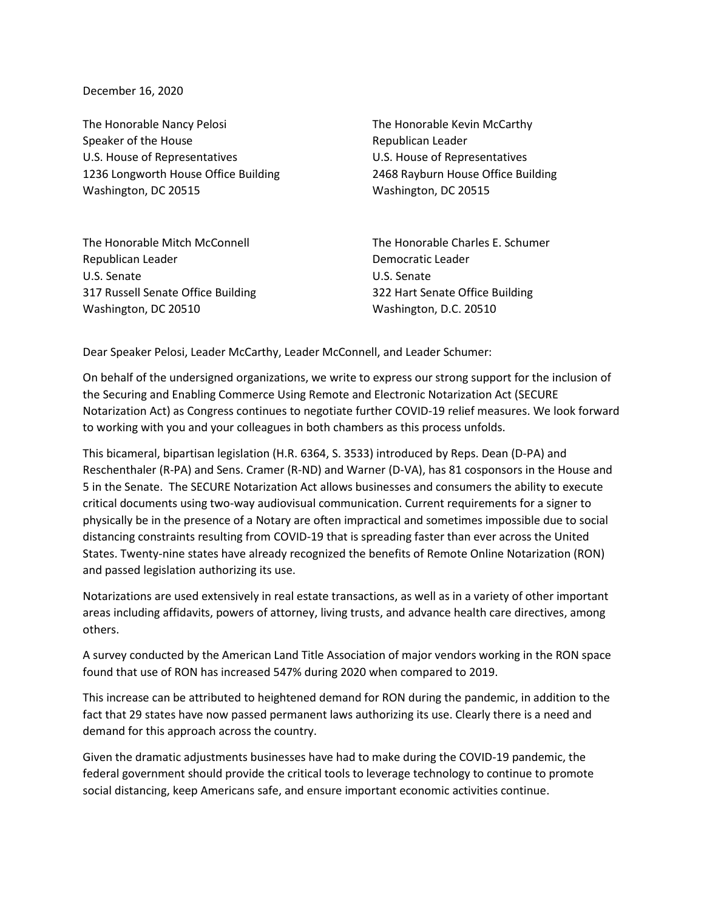December 16, 2020

The Honorable Nancy Pelosi Speaker of the House U.S. House of Representatives 1236 Longworth House Office Building Washington, DC 20515

The Honorable Mitch McConnell Republican Leader U.S. Senate 317 Russell Senate Office Building Washington, DC 20510

The Honorable Kevin McCarthy Republican Leader U.S. House of Representatives 2468 Rayburn House Office Building Washington, DC 20515

The Honorable Charles E. Schumer Democratic Leader U.S. Senate 322 Hart Senate Office Building Washington, D.C. 20510

Dear Speaker Pelosi, Leader McCarthy, Leader McConnell, and Leader Schumer:

On behalf of the undersigned organizations, we write to express our strong support for the inclusion of the Securing and Enabling Commerce Using Remote and Electronic Notarization Act (SECURE Notarization Act) as Congress continues to negotiate further COVID-19 relief measures. We look forward to working with you and your colleagues in both chambers as this process unfolds.

This bicameral, bipartisan legislation (H.R. 6364, S. 3533) introduced by Reps. Dean (D-PA) and Reschenthaler (R-PA) and Sens. Cramer (R-ND) and Warner (D-VA), has 81 cosponsors in the House and 5 in the Senate. The SECURE Notarization Act allows businesses and consumers the ability to execute critical documents using two-way audiovisual communication. Current requirements for a signer to physically be in the presence of a Notary are often impractical and sometimes impossible due to social distancing constraints resulting from COVID-19 that is spreading faster than ever across the United States. Twenty-nine states have already recognized the benefits of Remote Online Notarization (RON) and passed legislation authorizing its use.

Notarizations are used extensively in real estate transactions, as well as in a variety of other important areas including affidavits, powers of attorney, living trusts, and advance health care directives, among others.

A survey conducted by the American Land Title Association of major vendors working in the RON space found that use of RON has increased 547% during 2020 when compared to 2019.

This increase can be attributed to heightened demand for RON during the pandemic, in addition to the fact that 29 states have now passed permanent laws authorizing its use. Clearly there is a need and demand for this approach across the country.

Given the dramatic adjustments businesses have had to make during the COVID-19 pandemic, the federal government should provide the critical tools to leverage technology to continue to promote social distancing, keep Americans safe, and ensure important economic activities continue.